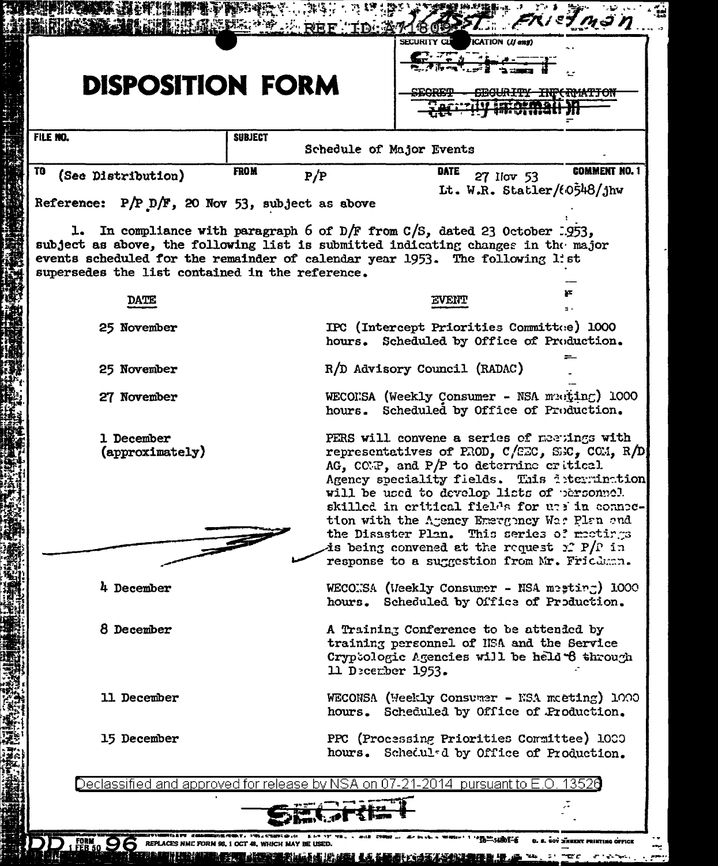| <b>DISPOSITION FORM</b>                                                                                                                                                                                                                                                    |                | <b>临床疏露默默****** REF TD: A71609</b> | SECURITY CLE<br>ICATION (If any)                                                                                                                                                                                                                                                                                                                                                                                                                                                               |                                                                |
|----------------------------------------------------------------------------------------------------------------------------------------------------------------------------------------------------------------------------------------------------------------------------|----------------|------------------------------------|------------------------------------------------------------------------------------------------------------------------------------------------------------------------------------------------------------------------------------------------------------------------------------------------------------------------------------------------------------------------------------------------------------------------------------------------------------------------------------------------|----------------------------------------------------------------|
| FILE NO.                                                                                                                                                                                                                                                                   | <b>SUBJECT</b> |                                    | Schedule of Major Events                                                                                                                                                                                                                                                                                                                                                                                                                                                                       |                                                                |
| TO<br>(See Distribution)                                                                                                                                                                                                                                                   | <b>FROM</b>    | P/P                                | <b>DATE</b><br>27 Ilov 53                                                                                                                                                                                                                                                                                                                                                                                                                                                                      | <b>COMMENT NO. 1</b><br>Lt. W.R. Statler/ $(6548/\text{j})$ hw |
| Reference: $P/P_p/F$ , 20 Nov 53, subject as above<br>subject as above, the following list is submitted indicating changes in the major<br>events scheduled for the remainder of calendar year 1953. The following list<br>supersedes the list contained in the reference. |                |                                    | 1. In compliance with paragraph 6 of D/F from C/S, dated 23 October 1953,                                                                                                                                                                                                                                                                                                                                                                                                                      |                                                                |
| <b>DATE</b>                                                                                                                                                                                                                                                                |                |                                    | EVENT                                                                                                                                                                                                                                                                                                                                                                                                                                                                                          |                                                                |
| 25 November                                                                                                                                                                                                                                                                |                |                                    | IPC (Intercept Priorities Committee) 1000<br>hours. Scheduled by Office of Production.                                                                                                                                                                                                                                                                                                                                                                                                         |                                                                |
| 25 November                                                                                                                                                                                                                                                                |                |                                    | R/D Advisory Council (RADAC)                                                                                                                                                                                                                                                                                                                                                                                                                                                                   |                                                                |
| 27 November                                                                                                                                                                                                                                                                |                |                                    | WECONSA (Weekly Consumer - NSA multing) 1000<br>hours. Scheduled by Office of Production.                                                                                                                                                                                                                                                                                                                                                                                                      |                                                                |
| 1 December<br>(approximately)                                                                                                                                                                                                                                              |                |                                    | PERS will convene a series of meetings with<br>representatives of PROD, $C/EC$ , SEC, CCM, R/D<br>AG, COMP, and P/P to determine eritical<br>Agency speciality fields. This intermination<br>will be used to develop lists of personnel.<br>skilled in critical fields for unsin connec-<br>tion with the Agency Emergincy Was Plan and<br>the Disaster Plan. This series of meetings<br>is being convened at the request $\mathfrak{L}$ P/P in<br>response to a suggestion from Mr. Fricdman. |                                                                |
| 4 December                                                                                                                                                                                                                                                                 |                |                                    | WECONSA (Weekly Consumer - NSA mesting) 1000<br>hours. Scheduled by Office of Production.                                                                                                                                                                                                                                                                                                                                                                                                      |                                                                |
| 8 December                                                                                                                                                                                                                                                                 |                |                                    | A Training Conference to be attended by<br>training personnel of HSA and the Service<br>Cryptologic Agencies will be held 8 through<br>11 December 1953.                                                                                                                                                                                                                                                                                                                                       |                                                                |
| 11 December                                                                                                                                                                                                                                                                |                |                                    | WECONSA (Weekly Consumer - NSA moeting) 1000<br>hours. Scheduled by Office of Production.                                                                                                                                                                                                                                                                                                                                                                                                      |                                                                |
| 15 December                                                                                                                                                                                                                                                                |                |                                    | PPC (Processing Priorities Committee) 1000<br>hours. Scheduled by Office of Production.                                                                                                                                                                                                                                                                                                                                                                                                        |                                                                |
|                                                                                                                                                                                                                                                                            |                |                                    | Declassified and approved for release by NSA on 07-21-2014 $\,$ pursuant to E.O. 13526 $\,$                                                                                                                                                                                                                                                                                                                                                                                                    |                                                                |
|                                                                                                                                                                                                                                                                            |                |                                    |                                                                                                                                                                                                                                                                                                                                                                                                                                                                                                |                                                                |